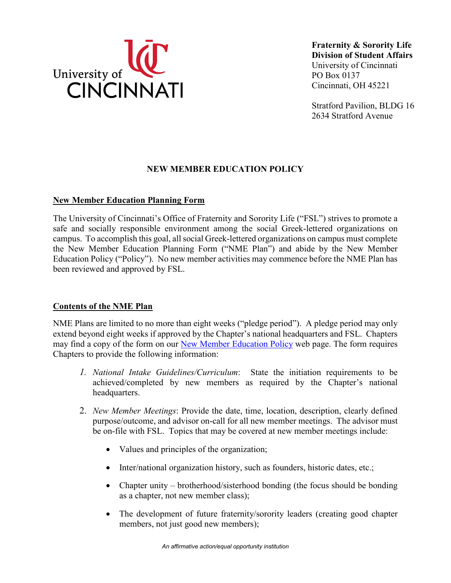

**Fraternity & Sorority Life Division of Student Affairs**  University of Cincinnati PO Box 0137 Cincinnati, OH 45221

Stratford Pavilion, BLDG 16 2634 Stratford Avenue

# **NEW MEMBER EDUCATION POLICY**

## **New Member Education Planning Form**

 The University of Cincinnati's Office of Fraternity and Sorority Life ("FSL") strives to promote a campus. To accomplish this goal, all social Greek-lettered organizations on campus must complete been reviewed and approved by FSL. safe and socially responsible environment among the social Greek-lettered organizations on the New Member Education Planning Form ("NME Plan") and abide by the New Member Education Policy ("Policy"). No new member activities may commence before the NME Plan has

## **Contents of the NME Plan**

 Chapters to provide the following information: NME Plans are limited to no more than eight weeks ("pledge period"). A pledge period may only extend beyond eight weeks if approved by the Chapter's national headquarters and FSL. Chapters may find a copy of the form on our [New Member Education Policy](https://www.uc.edu/campus-life/fraternity-sorority-life/policies---resources/new-member-education-policy.html) web page. The form requires

- *1. National Intake Guidelines/Curriculum*: State the initiation requirements to be achieved/completed by new members as required by the Chapter's national headquarters.
- be on-file with FSL. Topics that may be covered at new member meetings include: 2. *New Member Meetings*: Provide the date, time, location, description, clearly defined purpose/outcome, and advisor on-call for all new member meetings. The advisor must
	- Values and principles of the organization;
	- Inter/national organization history, such as founders, historic dates, etc.;
	- Chapter unity brotherhood/sisterhood bonding (the focus should be bonding as a chapter, not new member class);
	- The development of future fraternity/sorority leaders (creating good chapter members, not just good new members);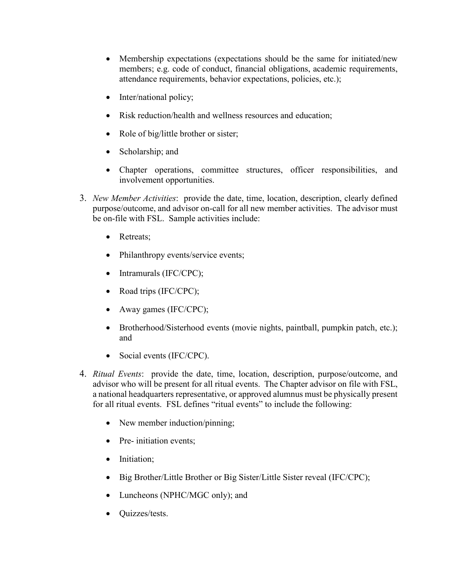- Membership expectations (expectations should be the same for initiated/new members; e.g. code of conduct, financial obligations, academic requirements, attendance requirements, behavior expectations, policies, etc.);
- Inter/national policy;
- Risk reduction/health and wellness resources and education:
- Role of big/little brother or sister;
- Scholarship; and
- Chapter operations, committee structures, officer responsibilities, and involvement opportunities.
- purpose/outcome, and advisor on-call for all new member activities. The advisor must be on-file with FSL. Sample activities include: 3. *New Member Activities*: provide the date, time, location, description, clearly defined
	- Retreats:
	- Philanthropy events/service events;
	- Intramurals (IFC/CPC);
	- Road trips (IFC/CPC);
	- Away games (IFC/CPC);
	- Brotherhood/Sisterhood events (movie nights, paintball, pumpkin patch, etc.); and
	- Social events (IFC/CPC).
- for all ritual events. FSL defines "ritual events" to include the following: 4. *Ritual Events*: provide the date, time, location, description, purpose/outcome, and advisor who will be present for all ritual events. The Chapter advisor on file with FSL, a national headquarters representative, or approved alumnus must be physically present
	- New member induction/pinning;
	- Pre- initiation events;
	- Initiation;
	- Big Brother/Little Brother or Big Sister/Little Sister reveal (IFC/CPC);
	- Luncheons (NPHC/MGC only); and
	- Quizzes/tests.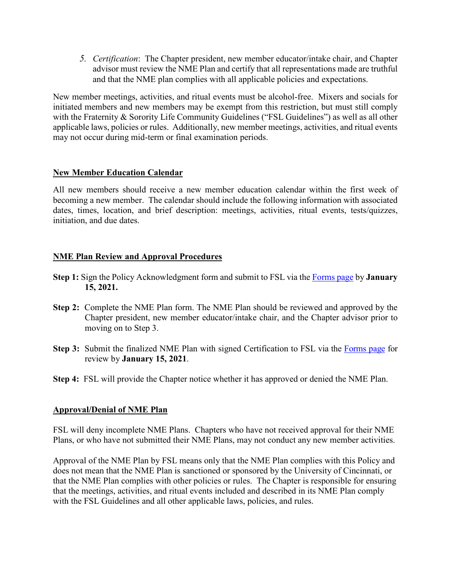and that the NME plan complies with all applicable policies and expectations. *5. Certification*: The Chapter president, new member educator/intake chair, and Chapter advisor must review the NME Plan and certify that all representations made are truthful

 initiated members and new members may be exempt from this restriction, but must still comply with the Fraternity & Sorority Life Community Guidelines ("FSL Guidelines") as well as all other applicable laws, policies or rules. Additionally, new member meetings, activities, and ritual events may not occur during mid-term or final examination periods. New member meetings, activities, and ritual events must be alcohol-free. Mixers and socials for

## **New Member Education Calendar**

 becoming a new member. The calendar should include the following information with associated dates, times, location, and brief description: meetings, activities, ritual events, tests/quizzes, All new members should receive a new member education calendar within the first week of initiation, and due dates.

## **NME Plan Review and Approval Procedures**

- **Step 1:** Sign the Policy Acknowledgment form and submit to FSL via the [Forms page](https://www.uc.edu/campus-life/fraternity-sorority-life/policies---resources/Forms.html) by **January 15, 2021.**
- **Step 2:** Complete the NME Plan form. The NME Plan should be reviewed and approved by the Chapter president, new member educator/intake chair, and the Chapter advisor prior to moving on to Step 3.
- **Step 3:** Submit the finalized NME Plan with signed Certification to FSL via the [Forms page](https://www.uc.edu/campus-life/fraternity-sorority-life/policies---resources/Forms.html) for review by **January 15, 2021**.
- **Step 4:** FSL will provide the Chapter notice whether it has approved or denied the NME Plan.

## **Approval/Denial of NME Plan**

 FSL will deny incomplete NME Plans. Chapters who have not received approval for their NME Plans, or who have not submitted their NME Plans, may not conduct any new member activities.

 with the FSL Guidelines and all other applicable laws, policies, and rules. Approval of the NME Plan by FSL means only that the NME Plan complies with this Policy and does not mean that the NME Plan is sanctioned or sponsored by the University of Cincinnati, or that the NME Plan complies with other policies or rules. The Chapter is responsible for ensuring that the meetings, activities, and ritual events included and described in its NME Plan comply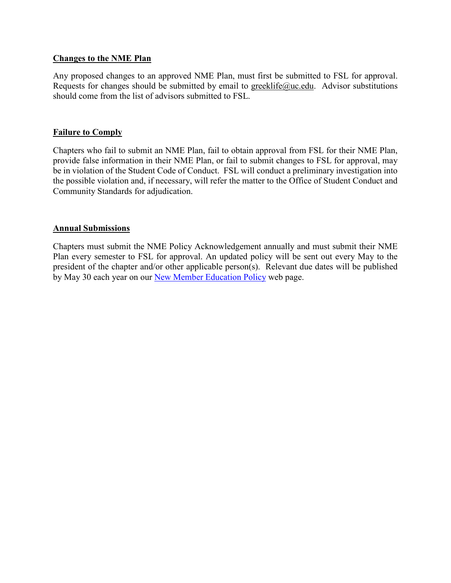#### **Changes to the NME Plan**

Any proposed changes to an approved NME Plan, must first be submitted to FSL for approval. Requests for changes should be submitted by email to [greeklife@uc.edu.](mailto:greeklife@uc.edu) Advisor substitutions should come from the list of advisors submitted to FSL.

## **Failure to Comply**

 Chapters who fail to submit an NME Plan, fail to obtain approval from FSL for their NME Plan, be in violation of the Student Code of Conduct. FSL will conduct a preliminary investigation into provide false information in their NME Plan, or fail to submit changes to FSL for approval, may the possible violation and, if necessary, will refer the matter to the Office of Student Conduct and Community Standards for adjudication.

## **Annual Submissions**

 president of the chapter and/or other applicable person(s). Relevant due dates will be published by May 30 each year on our [New Member Education Policy](https://www.uc.edu/campus-life/fraternity-sorority-life/policies---resources/new-member-education-policy.html) web page. Chapters must submit the NME Policy Acknowledgement annually and must submit their NME Plan every semester to FSL for approval. An updated policy will be sent out every May to the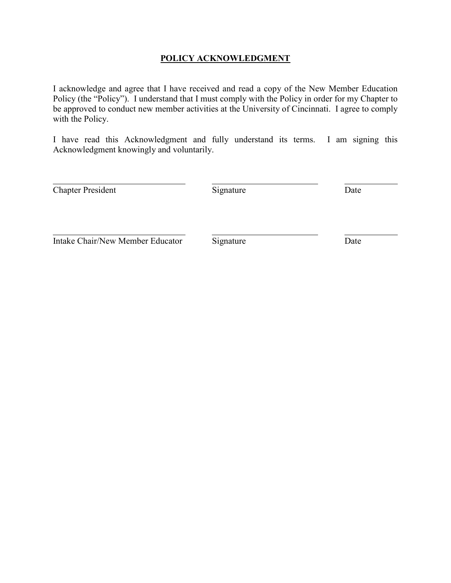## **POLICY ACKNOWLEDGMENT**

 Policy (the "Policy"). I understand that I must comply with the Policy in order for my Chapter to with the Policy. I acknowledge and agree that I have received and read a copy of the New Member Education be approved to conduct new member activities at the University of Cincinnati. I agree to comply

I have read this Acknowledgment and fully understand its terms. I am signing this Acknowledgment knowingly and voluntarily.

| <b>Chapter President</b>         | Signature | Date |
|----------------------------------|-----------|------|
|                                  |           |      |
| Intake Chair/New Member Educator | Signature | Date |